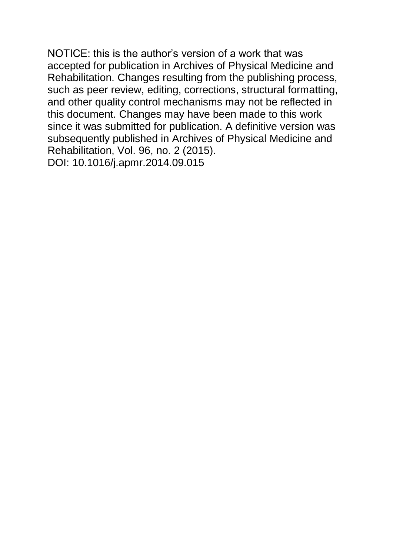NOTICE: this is the author's version of a work that was accepted for publication in Archives of Physical Medicine and Rehabilitation. Changes resulting from the publishing process, such as peer review, editing, corrections, structural formatting, and other quality control mechanisms may not be reflected in this document. Changes may have been made to this work since it was submitted for publication. A definitive version was subsequently published in Archives of Physical Medicine and Rehabilitation, Vol. 96, no. 2 (2015). DOI: 10.1016/j.apmr.2014.09.015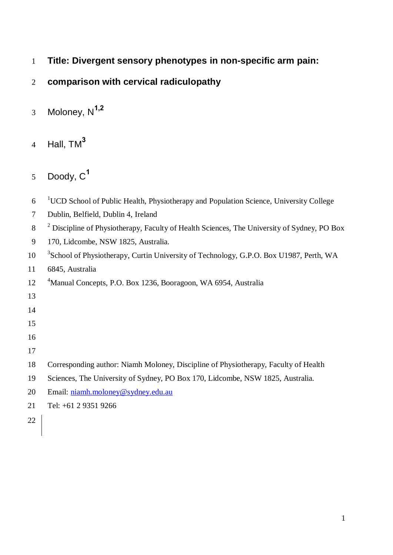- **Title: Divergent sensory phenotypes in non-specific arm pain:**
- **comparison with cervical radiculopathy**
- Moloney, N**1,2**
- Hall, TM**<sup>3</sup>**
- Doody, C**<sup>1</sup>**
- 6 <sup>1</sup>UCD School of Public Health, Physiotherapy and Population Science, University College
- Dublin, Belfield, Dublin 4, Ireland
- <sup>2</sup> Discipline of Physiotherapy, Faculty of Health Sciences, The University of Sydney, PO Box
- 170, Lidcombe, NSW 1825, Australia.
- <sup>3</sup> School of Physiotherapy, Curtin University of Technology, G.P.O. Box U1987, Perth, WA
- 6845, Australia
- 4 Manual Concepts, P.O. Box 1236, Booragoon, WA 6954, Australia
- 
- 
- 
- 
- 
- Corresponding author: Niamh Moloney, Discipline of Physiotherapy, Faculty of Health
- Sciences, The University of Sydney, PO Box 170, Lidcombe, NSW 1825, Australia.
- Email: [niamh.moloney@sydney.edu.au](mailto:niamh.moloney@sydney.edu.au)
- Tel: +61 2 9351 9266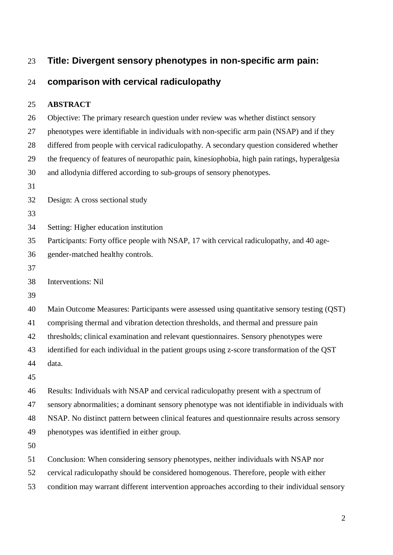# **Title: Divergent sensory phenotypes in non-specific arm pain:**

# **comparison with cervical radiculopathy**

# **ABSTRACT**

| 26 | Objective: The primary research question under review was whether distinct sensory            |
|----|-----------------------------------------------------------------------------------------------|
| 27 | phenotypes were identifiable in individuals with non-specific arm pain (NSAP) and if they     |
| 28 | differed from people with cervical radiculopathy. A secondary question considered whether     |
| 29 | the frequency of features of neuropathic pain, kinesiophobia, high pain ratings, hyperalgesia |
| 30 | and allodynia differed according to sub-groups of sensory phenotypes.                         |
| 31 |                                                                                               |
| 32 | Design: A cross sectional study                                                               |
| 33 |                                                                                               |
| 34 | Setting: Higher education institution                                                         |
| 35 | Participants: Forty office people with NSAP, 17 with cervical radiculopathy, and 40 age-      |
| 36 | gender-matched healthy controls.                                                              |
| 37 |                                                                                               |
| 38 | Interventions: Nil                                                                            |
| 39 |                                                                                               |
| 40 | Main Outcome Measures: Participants were assessed using quantitative sensory testing (QST)    |
| 41 | comprising thermal and vibration detection thresholds, and thermal and pressure pain          |
| 42 | thresholds; clinical examination and relevant questionnaires. Sensory phenotypes were         |
| 43 | identified for each individual in the patient groups using z-score transformation of the QST  |
| 44 | data.                                                                                         |
| 45 |                                                                                               |
| 46 | Results: Individuals with NSAP and cervical radiculopathy present with a spectrum of          |
| 47 | sensory abnormalities; a dominant sensory phenotype was not identifiable in individuals with  |
| 48 | NSAP. No distinct pattern between clinical features and questionnaire results across sensory  |
| 49 | phenotypes was identified in either group.                                                    |
| 50 |                                                                                               |
| 51 | Conclusion: When considering sensory phenotypes, neither individuals with NSAP nor            |
| 52 | cervical radiculopathy should be considered homogenous. Therefore, people with either         |
| 53 | condition may warrant different intervention approaches according to their individual sensory |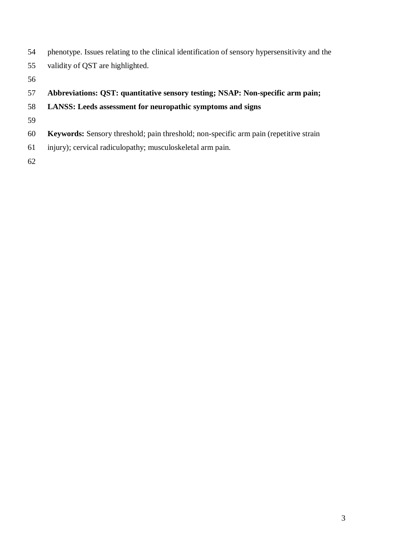- phenotype. Issues relating to the clinical identification of sensory hypersensitivity and the validity of QST are highlighted.
- 
- 

# **Abbreviations: QST: quantitative sensory testing; NSAP: Non-specific arm pain;**

- **LANSS: Leeds assessment for neuropathic symptoms and signs**
- 
- **Keywords:** Sensory threshold; pain threshold; non-specific arm pain (repetitive strain
- injury); cervical radiculopathy; musculoskeletal arm pain.
-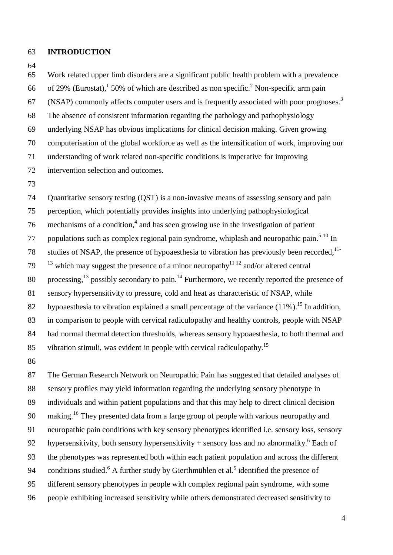### **INTRODUCTION**

 Work related upper limb disorders are a significant public health problem with a prevalence 66 of [2](#page-14-1)9% (Eurostat),  $150\%$  of which are described as non specific.<sup>2</sup> Non-specific arm pain (NSAP) commonly affects computer users and is frequently associated with poor prognoses. [3](#page-14-2) The absence of consistent information regarding the pathology and pathophysiology underlying NSAP has obvious implications for clinical decision making. Given growing computerisation of the global workforce as well as the intensification of work, improving our understanding of work related non-specific conditions is imperative for improving intervention selection and outcomes.

 Quantitative sensory testing (QST) is a non-invasive means of assessing sensory and pain perception, which potentially provides insights into underlying pathophysiological mechanisms of a condition,<sup>[4](#page-14-3)</sup> and has seen growing use in the investigation of patient 77 populations such as complex regional pain syndrome, whiplash and neuropathic pain.<sup>[5-10](#page-14-4)</sup> In studies of NSAP, the presence of hypoaesthesia to vibration has previously been recorded, - which may suggest the presence of a minor neuropathy<sup>[11](#page-14-5) [12](#page-14-6)</sup> and/or altered central 80 processing, possibly secondary to pain.<sup>[14](#page-14-8)</sup> Furthermore, we recently reported the presence of sensory hypersensitivity to pressure, cold and heat as characteristic of NSAP, while 82 hypoaesthesia to vibration explained a small percentage of the variance  $(11\%)$ .<sup>[15](#page-14-9)</sup> In addition, in comparison to people with cervical radiculopathy and healthy controls, people with NSAP had normal thermal detection thresholds, whereas sensory hypoaesthesia, to both thermal and 85 vibration stimuli, was evident in people with cervical radiculopathy.<sup>[15](#page-14-9)</sup>

 The German Research Network on Neuropathic Pain has suggested that detailed analyses of sensory profiles may yield information regarding the underlying sensory phenotype in individuals and within patient populations and that this may help to direct clinical decision 90 making.<sup>[16](#page-14-10)</sup> They presented data from a large group of people with various neuropathy and neuropathic pain conditions with key sensory phenotypes identified i.e. sensory loss, sensory 92 hypersensitivity, both sensory hypersensitivity  $+$  sensory loss and no abnormality.<sup>[6](#page-14-11)</sup> Each of the phenotypes was represented both within each patient population and across the different 94 conditions studied[.](#page-14-11)<sup>6</sup> A further study by Gierthmühlen et al.<sup>[5](#page-14-4)</sup> identified the presence of different sensory phenotypes in people with complex regional pain syndrome, with some people exhibiting increased sensitivity while others demonstrated decreased sensitivity to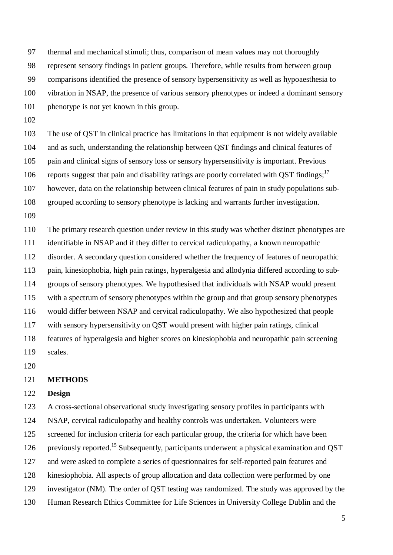thermal and mechanical stimuli; thus, comparison of mean values may not thoroughly

represent sensory findings in patient groups. Therefore, while results from between group

comparisons identified the presence of sensory hypersensitivity as well as hypoaesthesia to

vibration in NSAP, the presence of various sensory phenotypes or indeed a dominant sensory

phenotype is not yet known in this group.

The use of QST in clinical practice has limitations in that equipment is not widely available

and as such, understanding the relationship between QST findings and clinical features of

pain and clinical signs of sensory loss or sensory hypersensitivity is important. Previous

106 reports suggest that pain and disability ratings are poorly correlated with QST findings;<sup>[17](#page-14-12)</sup>

however, data on the relationship between clinical features of pain in study populations sub-

grouped according to sensory phenotype is lacking and warrants further investigation.

 The primary research question under review in this study was whether distinct phenotypes are identifiable in NSAP and if they differ to cervical radiculopathy, a known neuropathic disorder. A secondary question considered whether the frequency of features of neuropathic pain, kinesiophobia, high pain ratings, hyperalgesia and allodynia differed according to sub- groups of sensory phenotypes. We hypothesised that individuals with NSAP would present with a spectrum of sensory phenotypes within the group and that group sensory phenotypes would differ between NSAP and cervical radiculopathy. We also hypothesized that people with sensory hypersensitivity on QST would present with higher pain ratings, clinical features of hyperalgesia and higher scores on kinesiophobia and neuropathic pain screening scales.

#### **METHODS**

## **Design**

A cross-sectional observational study investigating sensory profiles in participants with

NSAP, cervical radiculopathy and healthy controls was undertaken. Volunteers were

screened for inclusion criteria for each particular group, the criteria for which have been

126 previously reported.<sup>[15](#page-14-9)</sup> Subsequently, participants underwent a physical examination and QST

and were asked to complete a series of questionnaires for self-reported pain features and

- kinesiophobia. All aspects of group allocation and data collection were performed by one
- investigator (NM). The order of QST testing was randomized. The study was approved by the
- Human Research Ethics Committee for Life Sciences in University College Dublin and the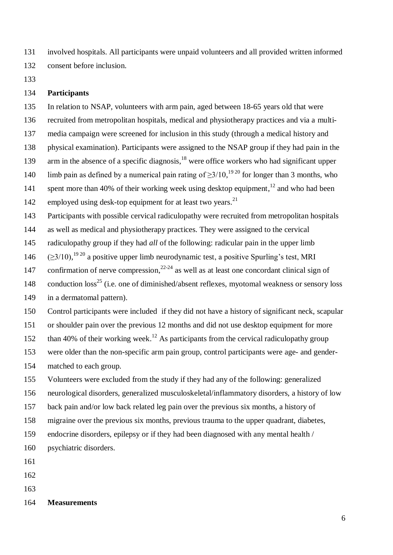involved hospitals. All participants were unpaid volunteers and all provided written informed consent before inclusion.

## **Participants**

 In relation to NSAP, volunteers with arm pain, aged between 18-65 years old that were recruited from metropolitan hospitals, medical and physiotherapy practices and via a multi- media campaign were screened for inclusion in this study (through a medical history and physical examination). Participants were assigned to the NSAP group if they had pain in the 139 arm in the absence of a specific diagnosis, were office workers who had significant upper 140 limb pain as defined by a numerical pain rating of  $\geq 3/10$ , <sup>[19](#page-15-1) [20](#page-15-2)</sup> for longer than 3 months, who 141 spent more than 40% of their working week using desktop equipment,<sup>[12](#page-14-6)</sup> and who had been 142 employed using desk-top equipment for at least two years.<sup>[21](#page-15-3)</sup> Participants with possible cervical radiculopathy were recruited from metropolitan hospitals as well as medical and physiotherapy practices. They were assigned to the cervical radiculopathy group if they had *all* of the following: radicular pain in the upper limb  $(≥3/10),<sup>1920</sup>$  $(≥3/10),<sup>1920</sup>$  $(≥3/10),<sup>1920</sup>$  $(≥3/10),<sup>1920</sup>$  a positive upper limb neurodynamic test, a positive Spurling's test, MRI 147 confirmation of nerve compression,  $22-24$  as well as at least one concordant clinical sign of 148 conduction  $loss^{25}$  $loss^{25}$  $loss^{25}$  (i.e. one of diminished/absent reflexes, myotomal weakness or sensory loss in a dermatomal pattern). Control participants were included if they did not have a history of significant neck, scapular

or shoulder pain over the previous 12 months and did not use desktop equipment for more

152 than 40% of their working week.<sup>[12](#page-14-6)</sup> As participants from the cervical radiculopathy group

- were older than the non-specific arm pain group, control participants were age- and gender-
- matched to each group.

 Volunteers were excluded from the study if they had any of the following: generalized neurological disorders, generalized musculoskeletal/inflammatory disorders, a history of low back pain and/or low back related leg pain over the previous six months, a history of

migraine over the previous six months, previous trauma to the upper quadrant, diabetes,

 endocrine disorders, epilepsy or if they had been diagnosed with any mental health / psychiatric disorders.

- 
- 
- 
- **Measurements**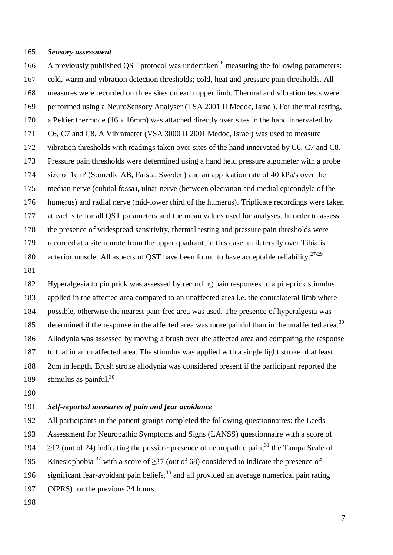#### *Sensory assessment*

166 A previously published QST protocol was undertaken<sup>[26](#page-15-6)</sup> measuring the following parameters: cold, warm and vibration detection thresholds; cold, heat and pressure pain thresholds. All measures were recorded on three sites on each upper limb. Thermal and vibration tests were performed using a NeuroSensory Analyser (TSA 2001 II Medoc, Israel). For thermal testing, a Peltier thermode (16 x 16mm) was attached directly over sites in the hand innervated by C6, C7 and C8. A Vibrameter (VSA 3000 II 2001 Medoc, Israel) was used to measure vibration thresholds with readings taken over sites of the hand innervated by C6, C7 and C8. Pressure pain thresholds were determined using a hand held pressure algometer with a probe size of 1cm² (Somedic AB, Farsta, Sweden) and an application rate of 40 kPa/s over the median nerve (cubital fossa), ulnar nerve (between olecranon and medial epicondyle of the humerus) and radial nerve (mid-lower third of the humerus). Triplicate recordings were taken at each site for all QST parameters and the mean values used for analyses. In order to assess the presence of widespread sensitivity, thermal testing and pressure pain thresholds were recorded at a site remote from the upper quadrant, in this case, unilaterally over Tibialis 180 anterior muscle. All aspects of QST have been found to have acceptable reliability.<sup>[27-29](#page-15-7)</sup>

 Hyperalgesia to pin prick was assessed by recording pain responses to a pin-prick stimulus applied in the affected area compared to an unaffected area i.e. the contralateral limb where possible, otherwise the nearest pain-free area was used. The presence of hyperalgesia was 185 determined if the response in the affected area was more painful than in the unaffected area.<sup>[30](#page-15-8)</sup> Allodynia was assessed by moving a brush over the affected area and comparing the response to that in an unaffected area. The stimulus was applied with a single light stroke of at least 2cm in length. Brush stroke allodynia was considered present if the participant reported the 189 stimulus as painful.<sup>[30](#page-15-8)</sup>

## *Self-reported measures of pain and fear avoidance*

 All participants in the patient groups completed the following questionnaires: the Leeds Assessment for Neuropathic Symptoms and Signs (LANSS) questionnaire with a score of  $\geq$  212 (out of 24) indicating the possible presence of neuropathic pain;<sup>[31](#page-15-9)</sup> the Tampa Scale of 195 Kinesiophobia with a score of >37 (out of 68) considered to indicate the presence of 196 significant fear-avoidant pain beliefs, and all provided an average numerical pain rating (NPRS) for the previous 24 hours.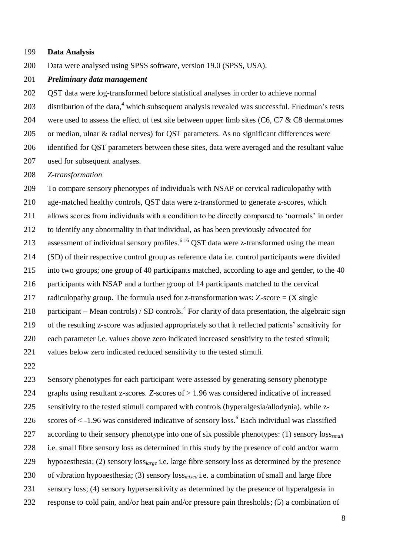#### **Data Analysis**

Data were analysed using SPSS software, version 19.0 (SPSS, USA).

*Preliminary data management*

 QST data were log-transformed before statistical analyses in order to achieve normal 203 distribution of the data[,](#page-14-3) which subsequent analysis revealed was successful. Friedman's tests 204 were used to assess the effect of test site between upper limb sites (C6, C7 & C8 dermatomes or median, ulnar & radial nerves) for QST parameters. As no significant differences were identified for QST parameters between these sites, data were averaged and the resultant value 207 used for subsequent analyses.

*Z-transformation*

 To compare sensory phenotypes of individuals with NSAP or cervical radiculopathy with age-matched healthy controls, QST data were z-transformed to generate z-scores, which allows scores from individuals with a condition to be directly compared to 'normals' in order to identify any abnormality in that individual, as has been previously advocated for 213 assessment of individual sensory profiles.<sup>[6](#page-14-11)[16](#page-14-10)</sup> QST data were z-transformed using the mean (SD) of their respective control group as reference data i.e. control participants were divided into two groups; one group of 40 participants matched, according to age and gender, to the 40 participants with NSAP and a further group of 14 participants matched to the cervical 217 radiculopathy group. The formula used for z-transformation was:  $Z$ -score =  $(X \text{ single})$ 218 participant – Mean controls) / SD controls.<sup>[4](#page-14-3)</sup> For clarity of data presentation, the algebraic sign of the resulting z-score was adjusted appropriately so that it reflected patients' sensitivity for each parameter i.e. values above zero indicated increased sensitivity to the tested stimuli; values below zero indicated reduced sensitivity to the tested stimuli.

 Sensory phenotypes for each participant were assessed by generating sensory phenotype graphs using resultant z-scores. *Z*-scores of > 1.96 was considered indicative of increased sensitivity to the tested stimuli compared with controls (hyperalgesia/allodynia), while z-[6](#page-14-11) scores of  $\lt$  -1.96 was considered indicative of sensory loss.<sup>6</sup> Each individual was classified according to their sensory phenotype into one of six possible phenotypes: (1) sensory loss*small* i.e. small fibre sensory loss as determined in this study by the presence of cold and/or warm hypoaesthesia; (2) sensory loss*large* i.e. large fibre sensory loss as determined by the presence of vibration hypoaesthesia; (3) sensory loss*mixed* i.e. a combination of small and large fibre sensory loss; (4) sensory hypersensitivity as determined by the presence of hyperalgesia in response to cold pain, and/or heat pain and/or pressure pain thresholds; (5) a combination of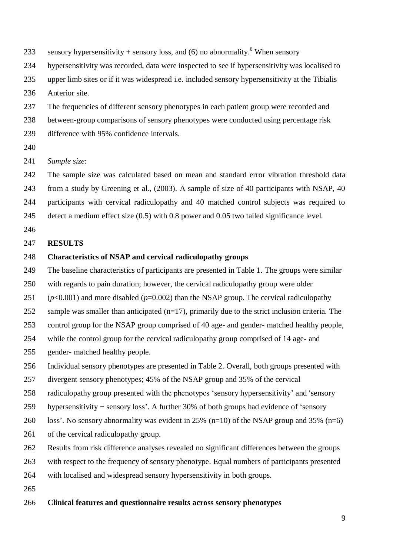- 233 sensory hypersensitivity + sensory loss, and (6) no abnormality[.](#page-14-11)<sup>6</sup> When sensory
- hypersensitivity was recorded, data were inspected to see if hypersensitivity was localised to
- upper limb sites or if it was widespread i.e. included sensory hypersensitivity at the Tibialis
- Anterior site.
- The frequencies of different sensory phenotypes in each patient group were recorded and
- between-group comparisons of sensory phenotypes were conducted using percentage risk
- difference with 95% confidence intervals.
- 
- *Sample size*:
- The sample size was calculated based on mean and standard error vibration threshold data
- from a study by Greening et al., (2003). A sample of size of 40 participants with NSAP, 40
- participants with cervical radiculopathy and 40 matched control subjects was required to
- detect a medium effect size (0.5) with 0.8 power and 0.05 two tailed significance level.
- 

## **RESULTS**

# **Characteristics of NSAP and cervical radiculopathy groups**

- The baseline characteristics of participants are presented in Table 1. The groups were similar
- with regards to pain duration; however, the cervical radiculopathy group were older
- 251  $(p<0.001)$  $(p<0.001)$  $(p<0.001)$  and more disabled  $(p=0.002)$  than the NSAP group. The cervical radiculopathy
- 252 sample was smaller than anticipated  $(n=17)$ , primarily due to the strict inclusion criteria. The
- control group for the NSAP group comprised of 40 age- and gender- matched healthy people,
- while the control group for the cervical radiculopathy group comprised of 14 age- and gender- matched healthy people.
- Individual sensory phenotypes are presented in Table 2. Overall, both groups presented with
- divergent sensory phenotypes; 45% of the NSAP group and 35% of the cervical
- radiculopathy group presented with the phenotypes 'sensory hypersensitivity' and 'sensory
- hypersensitivity + sensory loss'. A further 30% of both groups had evidence of 'sensory
- 260 loss'. No sensory abnormality was evident in 25% (n=10) of the NSAP group and 35% (n=6)
- of the cervical radiculopathy group.
- Results from risk difference analyses revealed no significant differences between the groups
- with respect to the frequency of sensory phenotype. Equal numbers of participants presented
- with localised and widespread sensory hypersensitivity in both groups.
- 

## **Clinical features and questionnaire results across sensory phenotypes**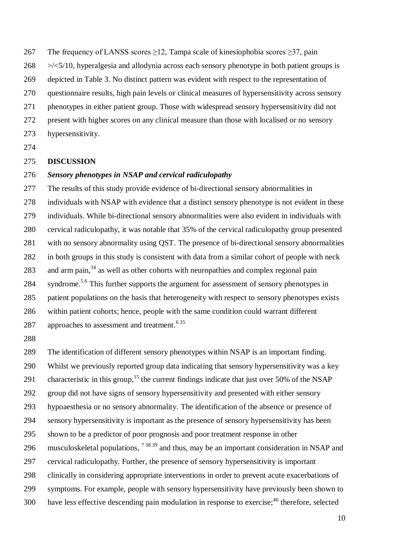- 267 The frequency of LANSS scores  $\geq$ 12, Tampa scale of kinesiophobia scores  $\geq$ 37, pain
- $268 \rightarrow \times 5/10$ , hyperalgesia and allodynia across each sensory phenotype in both patient groups is
- depicted in Table 3. No distinct pattern was evident with respect to the representation of
- questionnaire results, high pain levels or clinical measures of hypersensitivity across sensory
- 271 phenotypes in either patient group. Those with widespread sensory hypersensitivity did not
- 272 present with higher scores on any clinical measure than those with localised or no sensory
- hypersensitivity.
- 

### **DISCUSSION**

## *Sensory phenotypes in NSAP and cervical radiculopathy*

 The results of this study provide evidence of bi-directional sensory abnormalities in individuals with NSAP with evidence that a distinct sensory phenotype is not evident in these individuals. While bi-directional sensory abnormalities were also evident in individuals with cervical radiculopathy, it was notable that 35% of the cervical radiculopathy group presented with no sensory abnormality using QST. The presence of bi-directional sensory abnormalities in both groups in this study is consistent with data from a similar cohort of people with neck 283 and arm pain, as well as other cohorts with neuropathies and complex regional pain 284 syndrome.<sup>[5](#page-14-4)[6](#page-14-11)</sup> This further supports the argument for assessment of sensory phenotypes in patient populations on the basis that heterogeneity with respect to sensory phenotypes exists within patient cohorts; hence, people with the same condition could warrant different 287 approaches to assessment and treatment[.](#page-14-11)<sup>6[35](#page-16-2)</sup>

 The identification of different sensory phenotypes within NSAP is an important finding. Whilst we previously reported group data indicating that sensory hypersensitivity was a key 291 characteristic in this group,<sup>15</sup> the current findings indicate that just over 50% of the NSAP group did not have signs of sensory hypersensitivity and presented with either sensory hypoaesthesia or no sensory abnormality. The identification of the absence or presence of sensory hypersensitivity is important as the presence of sensory hypersensitivity has been shown to be a predictor of poor prognosis and poor treatment response in other 296 musculoskeletal populations,  $^{73839}$  $^{73839}$  $^{73839}$  $^{73839}$  $^{73839}$  and thus, may be an important consideration in NSAP and cervical radiculopathy. Further, the presence of sensory hypersensitivity is important clinically in considering appropriate interventions in order to prevent acute exacerbations of symptoms. For example, people with sensory hypersensitivity have previously been shown to have less effective descending pain modulation in response to exercise;  $40$  therefore, selected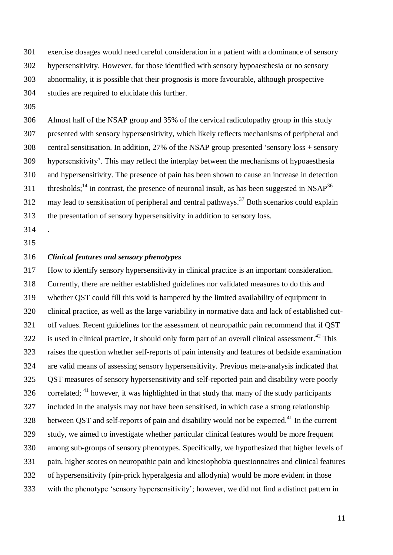exercise dosages would need careful consideration in a patient with a dominance of sensory hypersensitivity. However, for those identified with sensory hypoaesthesia or no sensory

abnormality, it is possible that their prognosis is more favourable, although prospective

- studies are required to elucidate this further.
- 

 Almost half of the NSAP group and 35% of the cervical radiculopathy group in this study presented with sensory hypersensitivity, which likely reflects mechanisms of peripheral and central sensitisation. In addition, 27% of the NSAP group presented 'sensory loss + sensory hypersensitivity'. This may reflect the interplay between the mechanisms of hypoaesthesia and hypersensitivity. The presence of pain has been shown to cause an increase in detection 311 thresholds;<sup>[14](#page-14-8)</sup> in contrast, the presence of neuronal insult, as has been suggested in NSAP<sup>[36](#page-16-6)</sup> may lead to sensitisation of peripheral and central pathways.<sup>[37](#page-16-7)</sup> Both scenarios could explain the presentation of sensory hypersensitivity in addition to sensory loss.

- .
- 

# *Clinical features and sensory phenotypes*

 How to identify sensory hypersensitivity in clinical practice is an important consideration. Currently, there are neither established guidelines nor validated measures to do this and whether QST could fill this void is hampered by the limited availability of equipment in clinical practice, as well as the large variability in normative data and lack of established cut- off values. Recent guidelines for the assessment of neuropathic pain recommend that if QST 322 is used in clinical practice, it should only form part of an overall clinical assessment.<sup>[42](#page-16-8)</sup> This raises the question whether self-reports of pain intensity and features of bedside examination are valid means of assessing sensory hypersensitivity. Previous meta-analysis indicated that QST measures of sensory hypersensitivity and self-reported pain and disability were poorly 326 correlated; however, it was highlighted in that study that many of the study participants included in the analysis may not have been sensitised, in which case a strong relationship 328 between QST and self-reports of pain and disability would not be expected.<sup>[41](#page-16-9)</sup> In the current study, we aimed to investigate whether particular clinical features would be more frequent among sub-groups of sensory phenotypes. Specifically, we hypothesized that higher levels of pain, higher scores on neuropathic pain and kinesiophobia questionnaires and clinical features of hypersensitivity (pin-prick hyperalgesia and allodynia) would be more evident in those with the phenotype 'sensory hypersensitivity'; however, we did not find a distinct pattern in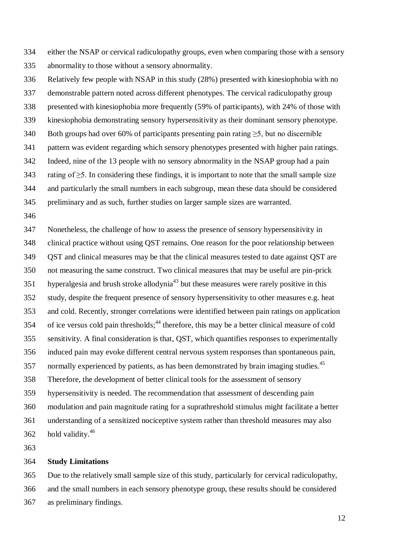- either the NSAP or cervical radiculopathy groups, even when comparing those with a sensory abnormality to those without a sensory abnormality.
- Relatively few people with NSAP in this study (28%) presented with kinesiophobia with no
- demonstrable pattern noted across different phenotypes. The cervical radiculopathy group
- presented with kinesiophobia more frequently (59% of participants), with 24% of those with
- kinesiophobia demonstrating sensory hypersensitivity as their dominant sensory phenotype.
- Both groups had over 60% of participants presenting pain rating ≥5, but no discernible
- pattern was evident regarding which sensory phenotypes presented with higher pain ratings.
- Indeed, nine of the 13 people with no sensory abnormality in the NSAP group had a pain
- rating of ≥5. In considering these findings, it is important to note that the small sample size
- and particularly the small numbers in each subgroup, mean these data should be considered
- preliminary and as such, further studies on larger sample sizes are warranted.
- 

 Nonetheless, the challenge of how to assess the presence of sensory hypersensitivity in clinical practice without using QST remains. One reason for the poor relationship between QST and clinical measures may be that the clinical measures tested to date against QST are not measuring the same construct. Two clinical measures that may be useful are pin-prick hyperalgesia and brush stroke allodynia<sup>[43](#page-16-10)</sup> but these measures were rarely positive in this study, despite the frequent presence of sensory hypersensitivity to other measures e.g. heat and cold. Recently, stronger correlations were identified between pain ratings on application 354 of ice versus cold pain thresholds; therefore, this may be a better clinical measure of cold sensitivity. A final consideration is that, QST, which quantifies responses to experimentally induced pain may evoke different central nervous system responses than spontaneous pain, 357 normally experienced by patients, as has been demonstrated by brain imaging studies.<sup>[45](#page-16-12)</sup> Therefore, the development of better clinical tools for the assessment of sensory hypersensitivity is needed. The recommendation that assessment of descending pain modulation and pain magnitude rating for a suprathreshold stimulus might facilitate a better understanding of a sensitized nociceptive system rather than threshold measures may also hold validity.<sup>[46](#page-16-13)</sup>

#### **Study Limitations**

 Due to the relatively small sample size of this study, particularly for cervical radiculopathy, and the small numbers in each sensory phenotype group, these results should be considered as preliminary findings.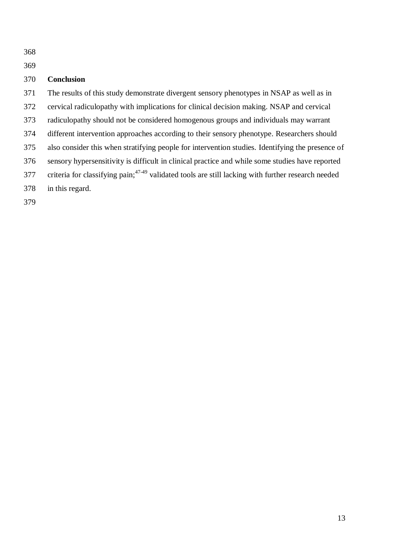- 
- 

# **Conclusion**

The results of this study demonstrate divergent sensory phenotypes in NSAP as well as in

- cervical radiculopathy with implications for clinical decision making. NSAP and cervical
- radiculopathy should not be considered homogenous groups and individuals may warrant
- different intervention approaches according to their sensory phenotype. Researchers should
- also consider this when stratifying people for intervention studies. Identifying the presence of
- sensory hypersensitivity is difficult in clinical practice and while some studies have reported
- 377 criteria for classifying pain;<sup>[47-49](#page-16-14)</sup> validated tools are still lacking with further research needed
- in this regard.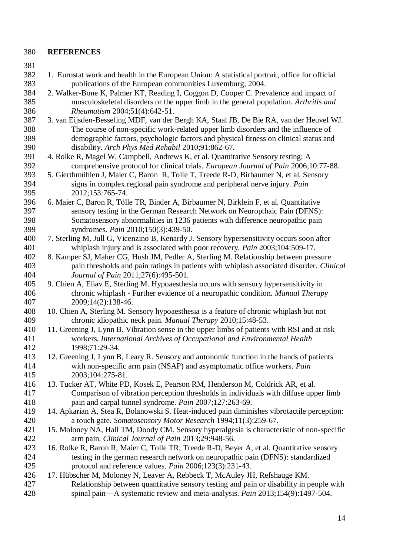## **REFERENCES**

- 
- <span id="page-14-0"></span> 1. Eurostat work and health in the European Union: A statistical portrait, office for official publications of the European communities Luxemburg, 2004.
- <span id="page-14-1"></span> 2. Walker-Bone K, Palmer KT, Reading I, Coggon D, Cooper C. Prevalence and impact of musculoskeletal disorders or the upper limb in the general population. *Arthritis and Rheumatism* 2004;51(4):642-51.
- <span id="page-14-2"></span> 3. van Eijsden-Besseling MDF, van der Bergh KA, Staal JB, De Bie RA, van der Heuvel WJ. The course of non-specific work-related upper limb disorders and the influence of demographic factors, psychologic factors and physical fitness on clinical status and disability. *Arch Phys Med Rehabil* 2010;91:862-67.
- <span id="page-14-3"></span> 4. Rolke R, Magel W, Campbell, Andrews K, et al. Quantitative Sensory testing: A comprehensive protocol for clinical trials. *European Journal of Pain* 2006;10:77-88.
- <span id="page-14-4"></span> 5. Gierthmühlen J, Maier C, Baron R, Tolle T, Treede R-D, Birbaumer N, et al. Sensory signs in complex regional pain syndrome and peripheral nerve injury. *Pain* 2012;153:765-74.
- <span id="page-14-11"></span> 6. Maier C, Baron R, Tölle TR, Binder A, Birbaumer N, Birklein F, et al. Quantitative sensory testing in the German Research Network on Neuropthaic Pain (DFNS): Somatosensory abnormalities in 1236 patients with difference neuropathic pain syndromes. *Pain* 2010;150(3):439-50.
- <span id="page-14-13"></span> 7. Sterling M, Jull G, Vicenzino B, Kenardy J. Sensory hypersensitivity occurs soon after whiplash injury and is associated with poor recovery. *Pain* 2003;104:509-17.
- 8. Kamper SJ, Maher CG, Hush JM, Pedler A, Sterling M. Relationship between pressure pain thresholds and pain ratings in patients with whiplash associated disorder. *Clinical Journal of Pain* 2011;27(6):495-501.
- 9. Chien A, Eliav E, Sterling M. Hypoaesthesia occurs with sensory hypersensitivity in chronic whiplash - Further evidence of a neuropathic condition. *Manual Therapy* 2009;14(2):138-46.
- 10. Chien A, Sterling M. Sensory hypoaesthesia is a feature of chronic whiplash but not chronic idiopathic neck pain. *Manual Therapy* 2010;15:48-53.
- <span id="page-14-5"></span> 11. Greening J, Lynn B. Vibration sense in the upper limbs of patients with RSI and at risk workers. *International Archives of Occupational and Environmental Health* 1998;71:29-34.
- <span id="page-14-6"></span> 12. Greening J, Lynn B, Leary R. Sensory and autonomic function in the hands of patients with non-specific arm pain (NSAP) and asymptomatic office workers. *Pain* 2003;104:275-81.
- <span id="page-14-7"></span> 13. Tucker AT, White PD, Kosek E, Pearson RM, Henderson M, Coldrick AR, et al. Comparison of vibration perception thresholds in individuals with diffuse upper limb pain and carpal tunnel syndrome. *Pain* 2007;127:263-69.
- <span id="page-14-8"></span> 14. Apkarian A, Stea R, Bolanowski S. Heat-induced pain diminishes vibrotactile perception: a touch gate. *Somatosensory Motor Research* 1994;11(3):259-67.
- <span id="page-14-9"></span> 15. Moloney NA, Hall TM, Doody CM. Sensory hyperalgesia is characteristic of non-specific arm pain. *Clinical Journal of Pain* 2013;29:948-56.
- <span id="page-14-10"></span> 16. Rolke R, Baron R, Maier C, Tolle TR, Treede R-D, Beyer A, et al. Quantitative sensory testing in the german research network on neuropathic pain (DFNS): standardized protocol and reference values. *Pain* 2006;123(3):231-43.
- <span id="page-14-12"></span> 17. Hübscher M, Moloney N, Leaver A, Rebbeck T, McAuley JH, Refshauge KM. Relationship between quantitative sensory testing and pain or disability in people with spinal pain—A systematic review and meta-analysis. *Pain* 2013;154(9):1497-504.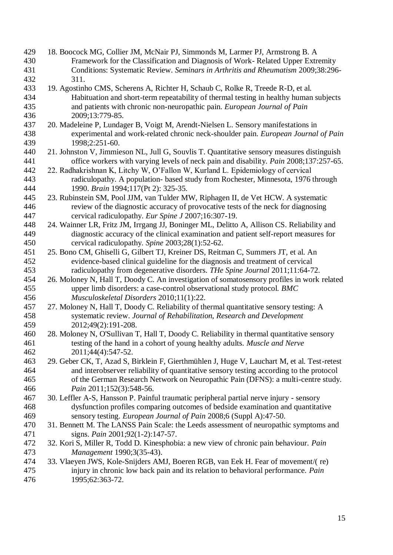<span id="page-15-11"></span><span id="page-15-10"></span><span id="page-15-9"></span><span id="page-15-8"></span><span id="page-15-7"></span><span id="page-15-6"></span><span id="page-15-5"></span><span id="page-15-4"></span><span id="page-15-3"></span><span id="page-15-2"></span><span id="page-15-1"></span><span id="page-15-0"></span> 18. Boocock MG, Collier JM, McNair PJ, Simmonds M, Larmer PJ, Armstrong B. A Framework for the Classification and Diagnosis of Work- Related Upper Extremity Conditions: Systematic Review. *Seminars in Arthritis and Rheumatism* 2009;38:296- 311. 19. Agostinho CMS, Scherens A, Richter H, Schaub C, Rolke R, Treede R-D, et al. Habituation and short-term repeatability of thermal testing in healthy human subjects and patients with chronic non-neuropathic pain. *European Journal of Pain* 2009;13:779-85. 20. Madeleine P, Lundager B, Voigt M, Arendt-Nielsen L. Sensory manifestations in experimental and work-related chronic neck-shoulder pain. *European Journal of Pain* 1998;2:251-60. 21. Johnston V, Jimmieson NL, Jull G, Souvlis T. Quantitative sensory measures distinguish office workers with varying levels of neck pain and disability. *Pain* 2008;137:257-65. 22. Radhakrishnan K, Litchy W, O'Fallon W, Kurland L. Epidemiology of cervical radiculopathy. A population- based study from Rochester, Minnesota, 1976 through 1990. *Brain* 1994;117(Pt 2): 325-35. 23. Rubinstein SM, Pool JJM, van Tulder MW, Riphagen II, de Vet HCW. A systematic review of the diagnostic accuracy of provocative tests of the neck for diagnosing cervical radiculopathy. *Eur Spine J* 2007;16:307-19. 24. Wainner LR, Fritz JM, Irrgang JJ, Boninger ML, Delitto A, Allison CS. Reliability and diagnostic accuracy of the clinical examination and patient self-report measures for cervical radiculopathy. *Spine* 2003;28(1):52-62. 25. Bono CM, Ghiselli G, Gilbert TJ, Kreiner DS, Reitman C, Summers JT, et al. An evidence-based clinical guideline for the diagnosis and treatment of cervical radiculopathy from degenerative disorders. *THe Spine Journal* 2011;11:64-72. 26. Moloney N, Hall T, Doody C. An investigation of somatosensory profiles in work related upper limb disorders: a case-control observational study protocol. *BMC Musculoskeletal Disorders* 2010;11(1):22. 27. Moloney N, Hall T, Doody C. Reliability of thermal quantitative sensory testing: A systematic review. *Journal of Rehabilitation, Research and Development* 2012;49(2):191-208. 28. Moloney N, O'Sullivan T, Hall T, Doody C. Reliability in thermal quantitative sensory testing of the hand in a cohort of young healthy adults. *Muscle and Nerve* 2011;44(4):547-52. 29. Geber CK, T, Azad S, Birklein F, Gierthmühlen J, Huge V, Lauchart M, et al. Test-retest and interobserver reliability of quantitative sensory testing according to the protocol of the German Research Network on Neuropathic Pain (DFNS): a multi-centre study. *Pain* 2011;152(3):548-56. 30. Leffler A-S, Hansson P. Painful traumatic peripheral partial nerve injury - sensory dysfunction profiles comparing outcomes of bedside examination and quantitative sensory testing. *European Journal of Pain* 2008;6 (Suppl A):47-50. 31. Bennett M. The LANSS Pain Scale: the Leeds assessment of neuropathic symptoms and signs. *Pain* 2001;92(1-2):147-57. 32. Kori S, Miller R, Todd D. Kinesphobia: a new view of chronic pain behaviour. *Pain Management* 1990;3(35-43). 33. Vlaeyen JWS, Kole-Snijders AMJ, Boeren RGB, van Eek H. Fear of movement/( re) injury in chronic low back pain and its relation to behavioral performance. *Pain* 1995;62:363-72.